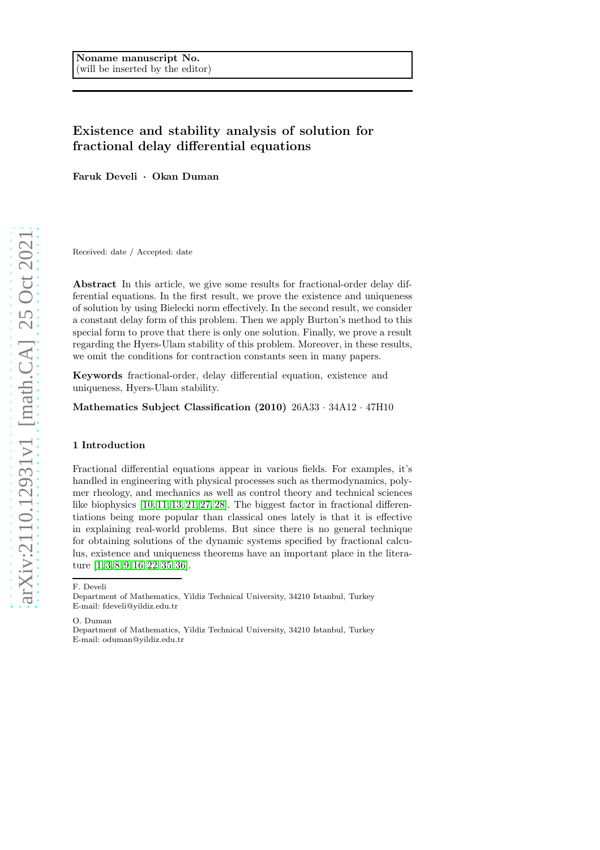# Existence and stability analysis of solution for fractional delay differential equations

Faruk Develi · Okan Duman

Received: date / Accepted: date

Abstract In this article, we give some results for fractional-order delay differential equations. In the first result, we prove the existence and uniqueness of solution by using Bielecki norm effectively. In the second result, we consider a constant delay form of this problem. Then we apply Burton's method to this special form to prove that there is only one solution. Finally, we prove a result regarding the Hyers-Ulam stability of this problem. Moreover, in these results, we omit the conditions for contraction constants seen in many papers.

Keywords fractional-order, delay differential equation, existence and uniqueness, Hyers-Ulam stability.

Mathematics Subject Classification (2010) 26A33 · 34A12 · 47H10

### 1 Introduction

Fractional differential equations appear in various fields. For examples, it's handled in engineering with physical processes such as thermodynamics, polymer rheology, and mechanics as well as control theory and technical sciences like biophysics [\[10,](#page-11-0) [11,](#page-11-1) [13,](#page-11-2) [21,](#page-11-3) [27,](#page-11-4) [28\]](#page-11-5). The biggest factor in fractional differentiations being more popular than classical ones lately is that it is effective in explaining real-world problems. But since there is no general technique for obtaining solutions of the dynamic systems specified by fractional calculus, existence and uniqueness theorems have an important place in the literature [\[1,](#page-10-0) [3,](#page-10-1) [8,](#page-11-6) [9,](#page-11-7) [16,](#page-11-8) [22,](#page-11-9) [35,](#page-11-10) [36\]](#page-12-0).

F. Develi

O. Duman

Department of Mathematics, Yildiz Technical University, 34210 Istanbul, Turkey E-mail: oduman@yildiz.edu.tr

Department of Mathematics, Yildiz Technical University, 34210 Istanbul, Turkey E-mail: fdeveli@yildiz.edu.tr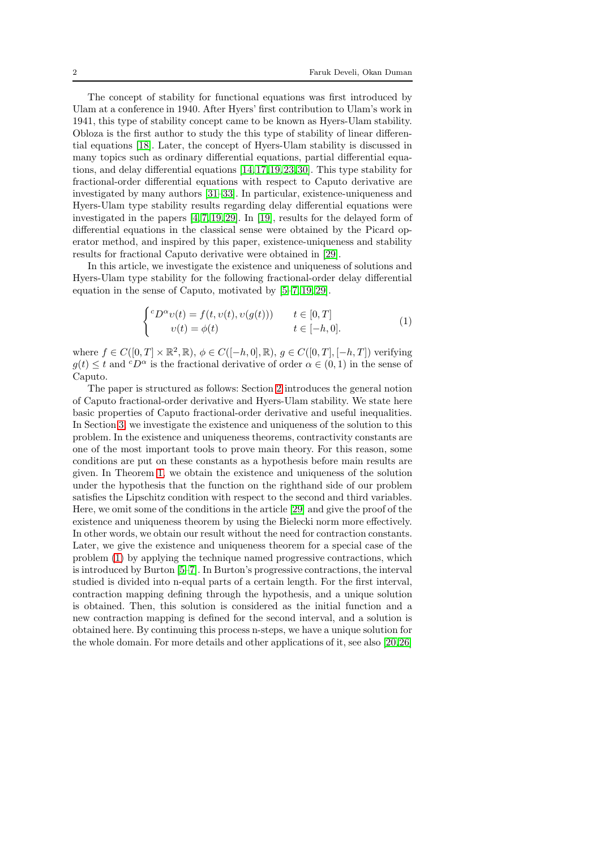The concept of stability for functional equations was first introduced by Ulam at a conference in 1940. After Hyers' first contribution to Ulam's work in 1941, this type of stability concept came to be known as Hyers-Ulam stability. Obloza is the first author to study the this type of stability of linear differential equations [\[18\]](#page-11-11). Later, the concept of Hyers-Ulam stability is discussed in many topics such as ordinary differential equations, partial differential equations, and delay differential equations [\[14,](#page-11-12)[17,](#page-11-13)[19,](#page-11-14)[23,](#page-11-15)[30\]](#page-11-16). This type stability for fractional-order differential equations with respect to Caputo derivative are investigated by many authors [\[31–](#page-11-17)[33\]](#page-11-18). In particular, existence-uniqueness and Hyers-Ulam type stability results regarding delay differential equations were investigated in the papers [\[4,](#page-10-2) [7,](#page-10-3) [19,](#page-11-14) [29\]](#page-11-19). In [\[19\]](#page-11-14), results for the delayed form of differential equations in the classical sense were obtained by the Picard operator method, and inspired by this paper, existence-uniqueness and stability results for fractional Caputo derivative were obtained in [\[29\]](#page-11-19).

In this article, we investigate the existence and uniqueness of solutions and Hyers-Ulam type stability for the following fractional-order delay differential equation in the sense of Caputo, motivated by [\[5–](#page-10-4)[7,](#page-10-3) [19,](#page-11-14) [29\]](#page-11-19).

<span id="page-1-0"></span>
$$
\begin{cases} c D^{\alpha} v(t) = f(t, v(t), v(g(t))) & t \in [0, T] \\ v(t) = \phi(t) & t \in [-h, 0]. \end{cases}
$$
 (1)

where  $f \in C([0, T] \times \mathbb{R}^2, \mathbb{R})$ ,  $\phi \in C([-h, 0], \mathbb{R})$ ,  $g \in C([0, T], [-h, T])$  verifying  $g(t) \leq t$  and  ${}^{c}D^{\alpha}$  is the fractional derivative of order  $\alpha \in (0,1)$  in the sense of Caputo.

The paper is structured as follows: Section [2](#page-2-0) introduces the general notion of Caputo fractional-order derivative and Hyers-Ulam stability. We state here basic properties of Caputo fractional-order derivative and useful inequalities. In Section [3,](#page-3-0) we investigate the existence and uniqueness of the solution to this problem. In the existence and uniqueness theorems, contractivity constants are one of the most important tools to prove main theory. For this reason, some conditions are put on these constants as a hypothesis before main results are given. In Theorem [1,](#page-3-1) we obtain the existence and uniqueness of the solution under the hypothesis that the function on the righthand side of our problem satisfies the Lipschitz condition with respect to the second and third variables. Here, we omit some of the conditions in the article [\[29\]](#page-11-19) and give the proof of the existence and uniqueness theorem by using the Bielecki norm more effectively. In other words, we obtain our result without the need for contraction constants. Later, we give the existence and uniqueness theorem for a special case of the problem [\(1\)](#page-1-0) by applying the technique named progressive contractions, which is introduced by Burton [\[5](#page-10-4)[–7\]](#page-10-3). In Burton's progressive contractions, the interval studied is divided into n-equal parts of a certain length. For the first interval, contraction mapping defining through the hypothesis, and a unique solution is obtained. Then, this solution is considered as the initial function and a new contraction mapping is defined for the second interval, and a solution is obtained here. By continuing this process n-steps, we have a unique solution for the whole domain. For more details and other applications of it, see also [\[20,](#page-11-20)[26\]](#page-11-21)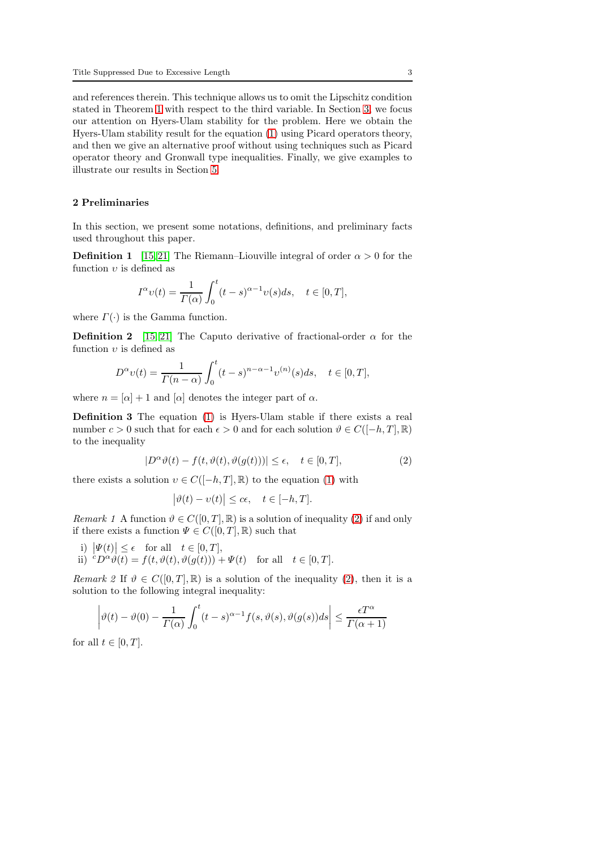and references therein. This technique allows us to omit the Lipschitz condition stated in Theorem [1](#page-3-1) with respect to the third variable. In Section [3,](#page-7-0) we focus our attention on Hyers-Ulam stability for the problem. Here we obtain the Hyers-Ulam stability result for the equation [\(1\)](#page-1-0) using Picard operators theory, and then we give an alternative proof without using techniques such as Picard operator theory and Gronwall type inequalities. Finally, we give examples to illustrate our results in Section [5.](#page-9-0)

### <span id="page-2-0"></span>2 Preliminaries

In this section, we present some notations, definitions, and preliminary facts used throughout this paper.

**Definition 1** [\[15,](#page-11-22) [21\]](#page-11-3) The Riemann–Liouville integral of order  $\alpha > 0$  for the function  $v$  is defined as

$$
I^{\alpha} \upsilon(t) = \frac{1}{\Gamma(\alpha)} \int_0^t (t-s)^{\alpha-1} \upsilon(s) ds, \quad t \in [0, T],
$$

where  $\Gamma(\cdot)$  is the Gamma function.

**Definition 2** [\[15,](#page-11-22) [21\]](#page-11-3) The Caputo derivative of fractional-order  $\alpha$  for the function  $v$  is defined as

$$
D^{\alpha} \nu(t) = \frac{1}{\Gamma(n-\alpha)} \int_0^t (t-s)^{n-\alpha-1} \nu^{(n)}(s) ds, \quad t \in [0, T],
$$

where  $n = |\alpha| + 1$  and  $|\alpha|$  denotes the integer part of  $\alpha$ .

Definition 3 The equation [\(1\)](#page-1-0) is Hyers-Ulam stable if there exists a real number  $c > 0$  such that for each  $\epsilon > 0$  and for each solution  $\vartheta \in C([-h, T], \mathbb{R})$ to the inequality

<span id="page-2-1"></span>
$$
|D^{\alpha}\vartheta(t) - f(t, \vartheta(t), \vartheta(g(t)))| \le \epsilon, \quad t \in [0, T],
$$
 (2)

there exists a solution  $v \in C([-h,T],\mathbb{R})$  to the equation [\(1\)](#page-1-0) with

$$
\big|\vartheta(t)-\upsilon(t)\big|\leq c\epsilon,\quad t\in[-h,T].
$$

Remark 1 A function  $\vartheta \in C([0,T], \mathbb{R})$  is a solution of inequality [\(2\)](#page-2-1) if and only if there exists a function  $\Psi \in C([0,T], {\mathbb R})$  such that

- i)  $|\Psi(t)| \leq \epsilon$  for all  $t \in [0, T]$ ,<br> $\therefore$   $\mathbb{C} \mathbb{D}^{\alpha}$   $\mathbb{C}(\epsilon)$   $\mathbb{C}^{\epsilon}$   $\mathbb{C}^{\epsilon}$   $\mathbb{C}^{\epsilon}$   $\mathbb{C}^{\epsilon}$   $\mathbb{C}^{\epsilon}$
- ii)  ${}^cD^{\alpha}\dot{\vartheta}(t) = f(t, \vartheta(t), \vartheta(g(t))) + \Psi(t)$  for all  $t \in [0, T]$ .

<span id="page-2-2"></span>Remark 2 If  $\vartheta \in C([0,T],\mathbb{R})$  is a solution of the inequality [\(2\)](#page-2-1), then it is a solution to the following integral inequality:

$$
\left|\vartheta(t) - \vartheta(0) - \frac{1}{\Gamma(\alpha)} \int_0^t (t-s)^{\alpha-1} f(s, \vartheta(s), \vartheta(g(s)) ds \right| \leq \frac{\epsilon T^{\alpha}}{\Gamma(\alpha+1)}
$$

for all  $t \in [0, T]$ .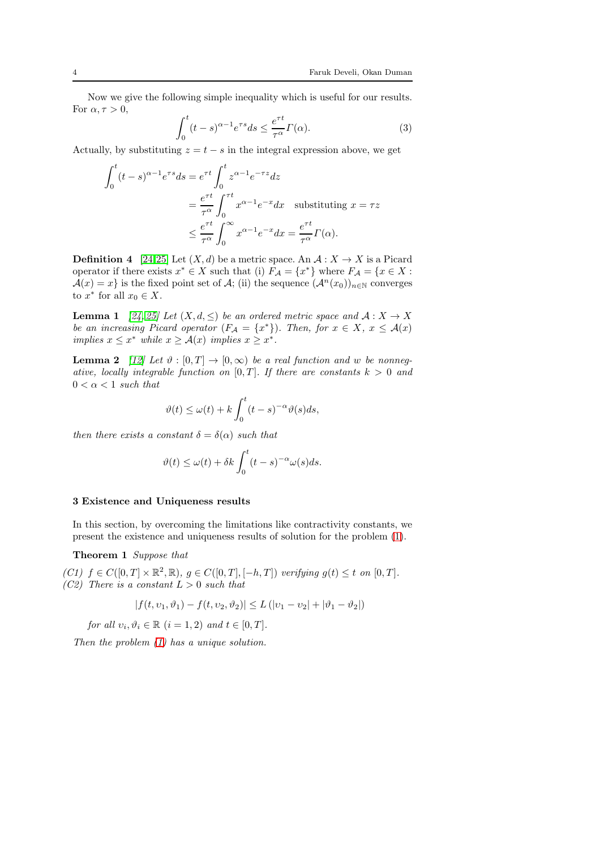Now we give the following simple inequality which is useful for our results. For  $\alpha, \tau > 0$ ,

<span id="page-3-2"></span>
$$
\int_0^t (t-s)^{\alpha - 1} e^{\tau s} ds \le \frac{e^{\tau t}}{\tau^{\alpha}} \Gamma(\alpha). \tag{3}
$$

Actually, by substituting  $z = t - s$  in the integral expression above, we get

$$
\int_0^t (t-s)^{\alpha-1} e^{\tau s} ds = e^{\tau t} \int_0^t z^{\alpha-1} e^{-\tau z} dz
$$
  
=  $\frac{e^{\tau t}}{\tau^{\alpha}} \int_0^{\tau t} x^{\alpha-1} e^{-x} dx$  substituting  $x = \tau z$   
 $\leq \frac{e^{\tau t}}{\tau^{\alpha}} \int_0^{\infty} x^{\alpha-1} e^{-x} dx = \frac{e^{\tau t}}{\tau^{\alpha}} \Gamma(\alpha).$ 

**Definition 4** [\[24,](#page-11-23)[25\]](#page-11-24) Let  $(X, d)$  be a metric space. An  $A: X \to X$  is a Picard operator if there exists  $x^* \in X$  such that (i)  $F_A = \{x^*\}$  where  $F_A = \{x \in X :$  $\mathcal{A}(x) = x$  is the fixed point set of A; (ii) the sequence  $(\mathcal{A}^n(x_0))_{n \in \mathbb{N}}$  converges to  $x^*$  for all  $x_0 \in X$ .

<span id="page-3-4"></span>**Lemma 1** [\[24,](#page-11-23) [25\]](#page-11-24) Let  $(X, d, \leq)$  be an ordered metric space and  $A: X \to X$ be an increasing Picard operator  $(F_A = \{x^*\})$ . Then, for  $x \in X$ ,  $x \leq \mathcal{A}(x)$ implies  $x \leq x^*$  while  $x \geq \mathcal{A}(x)$  implies  $x \geq x^*$ .

<span id="page-3-3"></span>**Lemma 2** [\[12\]](#page-11-25) Let  $\vartheta$  :  $[0, T] \to [0, \infty)$  be a real function and w be nonnegative, locally integrable function on  $[0, T]$ . If there are constants  $k > 0$  and  $0 < \alpha < 1$  such that

$$
\vartheta(t) \le \omega(t) + k \int_0^t (t - s)^{-\alpha} \vartheta(s) ds,
$$

then there exists a constant  $\delta = \delta(\alpha)$  such that

<span id="page-3-1"></span>
$$
\vartheta(t) \le \omega(t) + \delta k \int_0^t (t - s)^{-\alpha} \omega(s) ds.
$$

#### <span id="page-3-0"></span>3 Existence and Uniqueness results

In this section, by overcoming the limitations like contractivity constants, we present the existence and uniqueness results of solution for the problem [\(1\)](#page-1-0).

Theorem 1 Suppose that

(C1)  $f \in C([0,T] \times \mathbb{R}^2, \mathbb{R}), g \in C([0,T], [-h,T])$  verifying  $g(t) \leq t$  on  $[0,T]$ . (C2) There is a constant  $L > 0$  such that

$$
|f(t, v_1, \vartheta_1) - f(t, v_2, \vartheta_2)| \le L (|v_1 - v_2| + |\vartheta_1 - \vartheta_2|)
$$

for all  $v_i, \vartheta_i \in \mathbb{R}$   $(i = 1, 2)$  and  $t \in [0, T]$ .

Then the problem [\(1\)](#page-1-0) has a unique solution.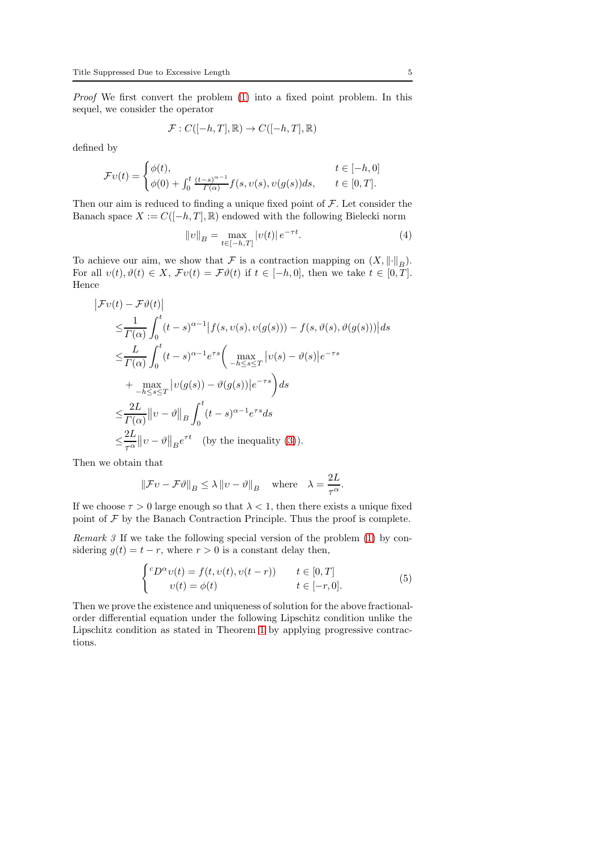Proof We first convert the problem [\(1\)](#page-1-0) into a fixed point problem. In this sequel, we consider the operator

$$
\mathcal{F}:C([-h,T],\mathbb{R})\rightarrow C([-h,T],\mathbb{R})
$$

defined by

$$
\mathcal{F}\upsilon(t) = \begin{cases} \phi(t), & t \in [-h, 0] \\ \phi(0) + \int_0^t \frac{(t-s)^{\alpha-1}}{\Gamma(\alpha)} f(s, \upsilon(s), \upsilon(g(s))ds, & t \in [0, T]. \end{cases}
$$

Then our aim is reduced to finding a unique fixed point of  $F$ . Let consider the Banach space  $X := C([-h, T], \mathbb{R})$  endowed with the following Bielecki norm

<span id="page-4-1"></span>
$$
||v||_B = \max_{t \in [-h,T]} |v(t)| e^{-\tau t}.
$$
 (4)

To achieve our aim, we show that F is a contraction mapping on  $(X, \|\cdot\|_B)$ . For all  $v(t), \vartheta(t) \in X$ ,  $\mathcal{F}v(t) = \mathcal{F}\vartheta(t)$  if  $t \in [-h, 0]$ , then we take  $t \in [0, T]$ . Hence

$$
\begin{split}\n|\mathcal{F}v(t) - \mathcal{F}\vartheta(t)| \\
&\leq \frac{1}{\Gamma(\alpha)} \int_0^t (t-s)^{\alpha-1} |f(s, v(s), v(g(s))) - f(s, \vartheta(s), \vartheta(g(s)))| ds \\
&\leq \frac{L}{\Gamma(\alpha)} \int_0^t (t-s)^{\alpha-1} e^{\tau s} \left( \max_{-h \leq s \leq T} |v(s) - \vartheta(s)| e^{-\tau s} \\
&\quad + \max_{-h \leq s \leq T} |v(g(s)) - \vartheta(g(s))| e^{-\tau s} \right) ds \\
&\leq \frac{2L}{\Gamma(\alpha)} \|v - \vartheta\|_B \int_0^t (t-s)^{\alpha-1} e^{\tau s} ds \\
&\leq \frac{2L}{\tau^{\alpha}} \|v - \vartheta\|_B e^{\tau t} \quad \text{(by the inequality (3)).\n\end{split}
$$

Then we obtain that

$$
||\mathcal{F}v - \mathcal{F}\vartheta||_B \le \lambda ||v - \vartheta||_B
$$
 where  $\lambda = \frac{2L}{\tau^{\alpha}}$ .

If we choose  $\tau > 0$  large enough so that  $\lambda < 1$ , then there exists a unique fixed point of  $\mathcal F$  by the Banach Contraction Principle. Thus the proof is complete.

Remark 3 If we take the following special version of the problem [\(1\)](#page-1-0) by considering  $q(t) = t - r$ , where  $r > 0$  is a constant delay then,

<span id="page-4-0"></span>
$$
\begin{cases} ^cD^{\alpha}v(t) = f(t, v(t), v(t-r)) & t \in [0, T] \\ v(t) = \phi(t) & t \in [-r, 0]. \end{cases} \tag{5}
$$

Then we prove the existence and uniqueness of solution for the above fractionalorder differential equation under the following Lipschitz condition unlike the Lipschitz condition as stated in Theorem [1](#page-3-1) by applying progressive contractions.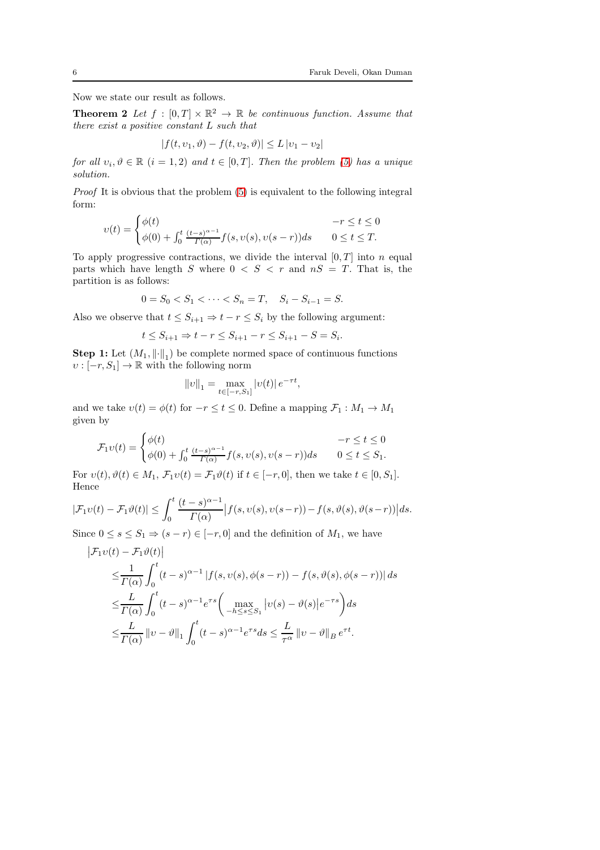Now we state our result as follows.

**Theorem 2** Let  $f : [0,T] \times \mathbb{R}^2 \to \mathbb{R}$  be continuous function. Assume that there exist a positive constant L such that

<span id="page-5-0"></span>
$$
|f(t, v_1, \vartheta) - f(t, v_2, \vartheta)| \le L |v_1 - v_2|
$$

for all  $v_i, \vartheta \in \mathbb{R}$   $(i = 1, 2)$  and  $t \in [0, T]$ . Then the problem [\(5\)](#page-4-0) has a unique solution.

Proof It is obvious that the problem [\(5\)](#page-4-0) is equivalent to the following integral form:

$$
v(t) = \begin{cases} \phi(t) & -r \le t \le 0\\ \phi(0) + \int_0^t \frac{(t-s)^{\alpha-1}}{\Gamma(\alpha)} f(s, v(s), v(s-r)) ds & 0 \le t \le T. \end{cases}
$$

To apply progressive contractions, we divide the interval  $[0, T]$  into n equal parts which have length S where  $0 < S < r$  and  $nS = T$ . That is, the partition is as follows:

$$
0 = S_0 < S_1 < \dots < S_n = T, \quad S_i - S_{i-1} = S.
$$

Also we observe that  $t \leq S_{i+1} \Rightarrow t - r \leq S_i$  by the following argument:

$$
t \le S_{i+1} \Rightarrow t - r \le S_{i+1} - r \le S_{i+1} - S = S_i.
$$

**Step 1:** Let  $(M_1, \|\cdot\|_1)$  be complete normed space of continuous functions  $v : [-r, S_1] \to \mathbb{R}$  with the following norm

$$
||v||_1 = \max_{t \in [-r, S_1]} |v(t)| e^{-\tau t}
$$

,

and we take  $v(t) = \phi(t)$  for  $-r \le t \le 0$ . Define a mapping  $\mathcal{F}_1 : M_1 \to M_1$ given by

$$
\mathcal{F}_1 v(t) = \begin{cases} \phi(t) & -r \le t \le 0 \\ \phi(0) + \int_0^t \frac{(t-s)^{\alpha-1}}{\Gamma(\alpha)} f(s, v(s), v(s-r)) ds & 0 \le t \le S_1. \end{cases}
$$

For  $v(t), \vartheta(t) \in M_1$ ,  $\mathcal{F}_1v(t) = \mathcal{F}_1\vartheta(t)$  if  $t \in [-r, 0]$ , then we take  $t \in [0, S_1]$ . Hence

$$
|\mathcal{F}_1v(t)-\mathcal{F}_1\vartheta(t)|\leq \int_0^t \frac{(t-s)^{\alpha-1}}{\Gamma(\alpha)}\big|f(s,v(s),v(s-r))-f(s,\vartheta(s),\vartheta(s-r))\big|ds.
$$

Since  $0 \le s \le S_1 \Rightarrow (s - r) \in [-r, 0]$  and the definition of  $M_1$ , we have

$$
\begin{split} \left| \mathcal{F}_1 v(t) - \mathcal{F}_1 \vartheta(t) \right| \\ &\leq \frac{1}{\Gamma(\alpha)} \int_0^t (t-s)^{\alpha-1} \left| f(s, v(s), \phi(s-r)) - f(s, \vartheta(s), \phi(s-r)) \right| ds \\ &\leq \frac{L}{\Gamma(\alpha)} \int_0^t (t-s)^{\alpha-1} e^{\tau s} \left( \max_{-h \leq s \leq S_1} |v(s) - \vartheta(s)| e^{-\tau s} \right) ds \\ &\leq \frac{L}{\Gamma(\alpha)} \left\| v - \vartheta \right\|_1 \int_0^t (t-s)^{\alpha-1} e^{\tau s} ds \leq \frac{L}{\tau^{\alpha}} \left\| v - \vartheta \right\|_B e^{\tau t} . \end{split}
$$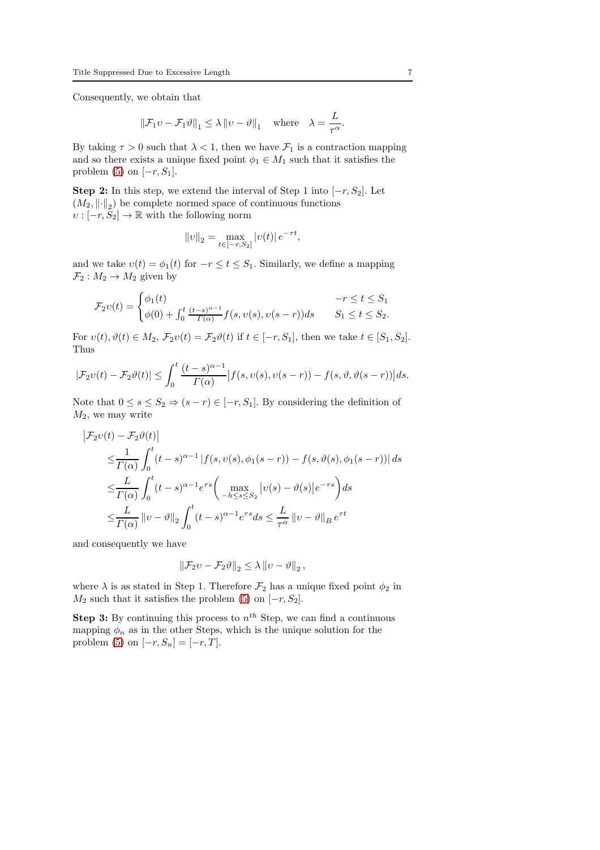Consequently, we obtain that

$$
\|\mathcal{F}_1 v - \mathcal{F}_1 \vartheta\|_1 \le \lambda \|v - \vartheta\|_1 \quad \text{where} \quad \lambda = \frac{L}{\tau^{\alpha}}.
$$

By taking  $\tau > 0$  such that  $\lambda < 1$ , then we have  $\mathcal{F}_1$  is a contraction mapping and so there exists a unique fixed point  $\phi_1 \in M_1$  such that it satisfies the problem [\(5\)](#page-4-0) on  $[-r, S_1]$ .

**Step 2:** In this step, we extend the interval of Step 1 into  $[-r, S_2]$ . Let  $(M_2, \|\cdot\|_2)$  be complete normed space of continuous functions  $\upsilon:[-r,S_2]\to\mathbb{R}$  with the following norm

$$
||v||_2 = \max_{t \in [-r, S_2]} |v(t)| e^{-\tau t},
$$

and we take  $v(t) = \phi_1(t)$  for  $-r \le t \le S_1$ . Similarly, we define a mapping  $\mathcal{F}_2 : M_2 \to M_2$  given by

$$
\mathcal{F}_2v(t) = \begin{cases} \phi_1(t) & -r \le t \le S_1 \\ \phi(0) + \int_0^t \frac{(t-s)^{\alpha-1}}{\Gamma(\alpha)} f(s, v(s), v(s-r)) ds & S_1 \le t \le S_2. \end{cases}
$$

For  $v(t)$ ,  $\vartheta(t) \in M_2$ ,  $\mathcal{F}_2v(t) = \mathcal{F}_2\vartheta(t)$  if  $t \in [-r, S_1]$ , then we take  $t \in [S_1, S_2]$ . Thus

$$
|\mathcal{F}_2v(t)-\mathcal{F}_2\vartheta(t)| \leq \int_0^t \frac{(t-s)^{\alpha-1}}{\Gamma(\alpha)} \big|f(s,v(s),v(s-r))-f(s,\vartheta,\vartheta(s-r))\big|ds.
$$

Note that  $0 \leq s \leq S_2 \Rightarrow (s-r) \in [-r, S_1]$ . By considering the definition of  $M_2$ , we may write

$$
\begin{split} \left|\mathcal{F}_2 v(t)-\mathcal{F}_2 \vartheta(t)\right|\\ \leq& \frac{1}{\Gamma(\alpha)}\int_0^t (t-s)^{\alpha-1}\left|f(s,v(s),\phi_1(s-r))-f(s,\vartheta(s),\phi_1(s-r))\right|ds\\ \leq& \frac{L}{\Gamma(\alpha)}\int_0^t (t-s)^{\alpha-1}e^{\tau s}\bigg(\max_{-h\leq s\leq S_2}|v(s)-\vartheta(s)|e^{-\tau s}\bigg)ds\\ \leq& \frac{L}{\Gamma(\alpha)}\left\|v-\vartheta\right\|_2\int_0^t (t-s)^{\alpha-1}e^{\tau s}ds\leq \frac{L}{\tau^{\alpha}}\left\|v-\vartheta\right\|_B e^{\tau t} \end{split}
$$

and consequently we have

$$
\left\|\mathcal{F}_2 v - \mathcal{F}_2 \vartheta\right\|_2 \leq \lambda \left\|v - \vartheta\right\|_2,
$$

where  $\lambda$  is as stated in Step 1. Therefore  $\mathcal{F}_2$  has a unique fixed point  $\phi_2$  in  $M_2$  such that it satisfies the problem [\(5\)](#page-4-0) on  $[-r, S_2]$ .

**Step 3:** By continuing this process to  $n^{th}$  Step, we can find a continuous mapping  $\phi_n$  as in the other Steps, which is the unique solution for the problem [\(5\)](#page-4-0) on  $[-r, S_n] = [-r, T]$ .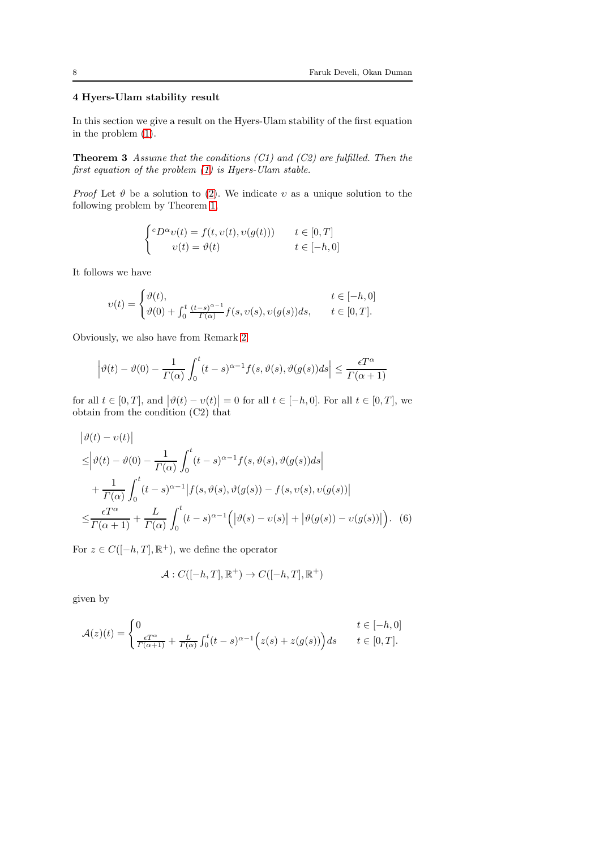## 4 Hyers-Ulam stability result

<span id="page-7-0"></span>In this section we give a result on the Hyers-Ulam stability of the first equation in the problem [\(1\)](#page-1-0).

**Theorem 3** Assume that the conditions  $(C1)$  and  $(C2)$  are fulfilled. Then the first equation of the problem [\(1\)](#page-1-0) is Hyers-Ulam stable.

*Proof* Let  $\vartheta$  be a solution to [\(2\)](#page-2-1). We indicate v as a unique solution to the following problem by Theorem [1,](#page-3-1)

$$
\begin{cases} ^cD^\alpha v(t) = f(t, v(t), v(g(t))) & t \in [0, T] \\ v(t) = \vartheta(t) & t \in [-h, 0] \end{cases}
$$

It follows we have

$$
v(t) = \begin{cases} \vartheta(t), & t \in [-h, 0] \\ \vartheta(0) + \int_0^t \frac{(t-s)^{\alpha-1}}{\Gamma(\alpha)} f(s, v(s), v(g(s))ds, & t \in [0, T]. \end{cases}
$$

Obviously, we also have from Remark [2](#page-2-2)

$$
\left|\vartheta(t) - \vartheta(0) - \frac{1}{\Gamma(\alpha)} \int_0^t (t-s)^{\alpha-1} f(s, \vartheta(s), \vartheta(g(s))ds\right| \le \frac{\epsilon T^{\alpha}}{\Gamma(\alpha+1)}
$$

for all  $t \in [0, T]$ , and  $|\vartheta(t) - \upsilon(t)| = 0$  for all  $t \in [-h, 0]$ . For all  $t \in [0, T]$ , we obtain from the condition (C2) that

$$
\begin{split} &\left|\vartheta(t)-\upsilon(t)\right| \\ &\leq \left|\vartheta(t)-\vartheta(0)-\frac{1}{\Gamma(\alpha)}\int_{0}^{t}(t-s)^{\alpha-1}f(s,\vartheta(s),\vartheta(g(s))ds\right| \\ &+\frac{1}{\Gamma(\alpha)}\int_{0}^{t}(t-s)^{\alpha-1}\left|f(s,\vartheta(s),\vartheta(g(s))-f(s,\upsilon(s),\upsilon(g(s))\right| \\ &\leq \frac{\epsilon T^{\alpha}}{\Gamma(\alpha+1)}+\frac{L}{\Gamma(\alpha)}\int_{0}^{t}(t-s)^{\alpha-1}\left(\left|\vartheta(s)-\upsilon(s)\right|+\left|\vartheta(g(s))- \upsilon(g(s))\right|\right). \end{split} \tag{6}
$$

For  $z \in C([-h,T], \mathbb{R}^+)$ , we define the operator

<span id="page-7-1"></span>
$$
\mathcal{A}:C([-h,T],\mathbb{R}^+)\rightarrow C([-h,T],\mathbb{R}^+)
$$

given by

$$
\mathcal{A}(z)(t) = \begin{cases} 0 & t \in [-h,0] \\ \frac{\epsilon T^{\alpha}}{\varGamma(\alpha+1)} + \frac{L}{\varGamma(\alpha)} \int_0^t (t-s)^{\alpha-1} \Big( z(s) + z(g(s)) \Big) ds & t \in [0,T]. \end{cases}
$$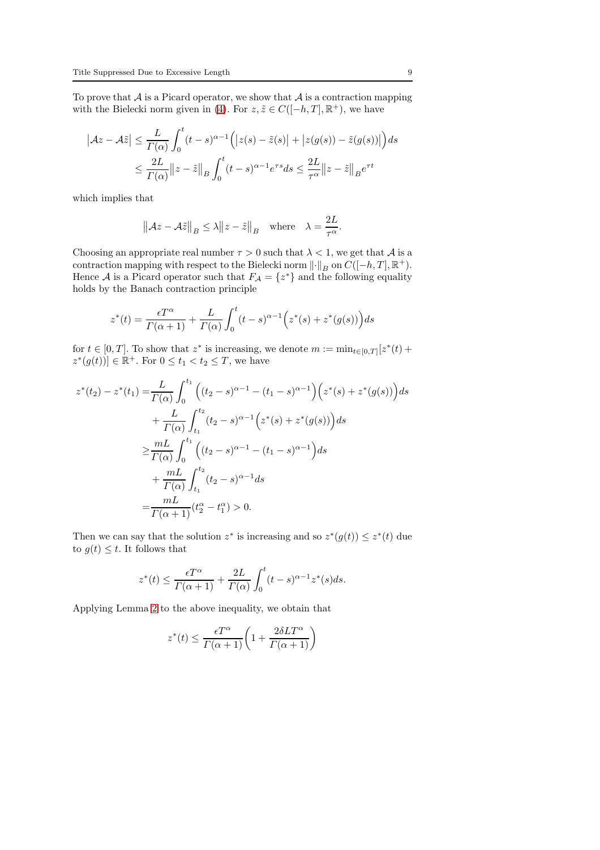To prove that  $A$  is a Picard operator, we show that  $A$  is a contraction mapping with the Bielecki norm given in [\(4\)](#page-4-1). For  $z, \tilde{z} \in C([-h,T], \mathbb{R}^+)$ , we have

$$
|\mathcal{A}z - \mathcal{A}\tilde{z}| \le \frac{L}{\Gamma(\alpha)} \int_0^t (t - s)^{\alpha - 1} (|z(s) - \tilde{z}(s)| + |z(g(s)) - \tilde{z}(g(s))|) ds
$$
  

$$
\le \frac{2L}{\Gamma(\alpha)} ||z - \tilde{z}||_B \int_0^t (t - s)^{\alpha - 1} e^{\tau s} ds \le \frac{2L}{\tau^{\alpha}} ||z - \tilde{z}||_B e^{\tau t}
$$

which implies that

$$
||Az - A\tilde{z}||_B \le \lambda ||z - \tilde{z}||_B
$$
 where  $\lambda = \frac{2L}{\tau^{\alpha}}$ .

Choosing an appropriate real number  $\tau > 0$  such that  $\lambda < 1$ , we get that A is a contraction mapping with respect to the Bielecki norm  $\lVert \cdot \rVert_B$  on  $C([-h,T], \mathbb{R}^+)$ . Hence A is a Picard operator such that  $F_A = \{z^*\}\$  and the following equality holds by the Banach contraction principle

$$
z^*(t) = \frac{\epsilon T^{\alpha}}{\Gamma(\alpha+1)} + \frac{L}{\Gamma(\alpha)} \int_0^t (t-s)^{\alpha-1} (z^*(s) + z^*(g(s))) ds
$$

for  $t \in [0,T]$ . To show that  $z^*$  is increasing, we denote  $m := \min_{t \in [0,T]} [z^*(t) +$  $(z^*(g(t))]\in \mathbb{R}^+$ . For  $0\leq t_1 < t_2 \leq T$ , we have

$$
z^*(t_2) - z^*(t_1) = \frac{L}{\Gamma(\alpha)} \int_0^{t_1} \left( (t_2 - s)^{\alpha - 1} - (t_1 - s)^{\alpha - 1} \right) \left( z^*(s) + z^*(g(s)) \right) ds
$$
  
+ 
$$
\frac{L}{\Gamma(\alpha)} \int_{t_1}^{t_2} (t_2 - s)^{\alpha - 1} \left( z^*(s) + z^*(g(s)) \right) ds
$$
  

$$
\geq \frac{mL}{\Gamma(\alpha)} \int_0^{t_1} \left( (t_2 - s)^{\alpha - 1} - (t_1 - s)^{\alpha - 1} \right) ds
$$
  
+ 
$$
\frac{mL}{\Gamma(\alpha)} \int_{t_1}^{t_2} (t_2 - s)^{\alpha - 1} ds
$$
  
= 
$$
\frac{mL}{\Gamma(\alpha + 1)} (t_2^{\alpha} - t_1^{\alpha}) > 0.
$$

Then we can say that the solution  $z^*$  is increasing and so  $z^*(g(t)) \leq z^*(t)$  due to  $g(t) \leq t$ . It follows that

$$
z^*(t) \le \frac{\epsilon T^{\alpha}}{\Gamma(\alpha+1)} + \frac{2L}{\Gamma(\alpha)} \int_0^t (t-s)^{\alpha-1} z^*(s) ds.
$$

Applying Lemma [2](#page-3-3) to the above inequality, we obtain that

$$
z^*(t) \le \frac{\epsilon T^{\alpha}}{\Gamma(\alpha+1)} \bigg( 1 + \frac{2\delta LT^{\alpha}}{\Gamma(\alpha+1)} \bigg)
$$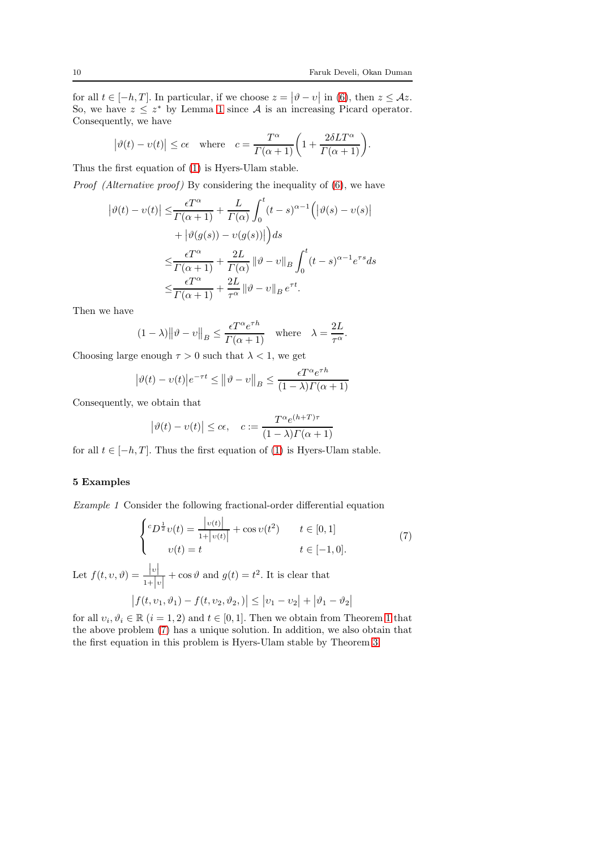.

for all  $t \in [-h, T]$ . In particular, if we choose  $z = |\vartheta - v|$  in [\(6\)](#page-7-1), then  $z \leq \mathcal{A}z$ . So, we have  $z \leq z^*$  by Lemma [1](#page-3-4) since A is an increasing Picard operator. Consequently, we have

$$
|\vartheta(t) - v(t)| \le c\epsilon
$$
 where  $c = \frac{T^{\alpha}}{\Gamma(\alpha + 1)} \left(1 + \frac{2\delta LT^{\alpha}}{\Gamma(\alpha + 1)}\right)$ 

Thus the first equation of [\(1\)](#page-1-0) is Hyers-Ulam stable.

*Proof (Alternative proof)* By considering the inequality of  $(6)$ , we have

$$
\begin{split} \left| \vartheta(t) - \upsilon(t) \right| \leq & \frac{\epsilon T^{\alpha}}{\Gamma(\alpha+1)} + \frac{L}{\Gamma(\alpha)} \int_{0}^{t} (t-s)^{\alpha-1} \Big( \left| \vartheta(s) - \upsilon(s) \right| \\ & + \left| \vartheta(g(s)) - \upsilon(g(s)) \right| \Big) ds \\ \leq & \frac{\epsilon T^{\alpha}}{\Gamma(\alpha+1)} + \frac{2L}{\Gamma(\alpha)} \left\| \vartheta - \upsilon \right\|_{B} \int_{0}^{t} (t-s)^{\alpha-1} e^{\tau s} ds \\ \leq & \frac{\epsilon T^{\alpha}}{\Gamma(\alpha+1)} + \frac{2L}{\tau^{\alpha}} \left\| \vartheta - \upsilon \right\|_{B} e^{\tau t}. \end{split}
$$

Then we have

$$
(1 - \lambda) \|\vartheta - v\|_{B} \le \frac{\epsilon T^{\alpha} e^{\tau h}}{\Gamma(\alpha + 1)} \quad \text{where} \quad \lambda = \frac{2L}{\tau^{\alpha}}.
$$

Choosing large enough  $\tau > 0$  such that  $\lambda < 1$ , we get

$$
|\vartheta(t) - \upsilon(t)|e^{-\tau t} \le ||\vartheta - \upsilon||_B \le \frac{\epsilon T^{\alpha} e^{\tau h}}{(1 - \lambda)\Gamma(\alpha + 1)}
$$

Consequently, we obtain that

$$
|\vartheta(t) - v(t)| \le c\epsilon, \quad c := \frac{T^{\alpha}e^{(h+T)\tau}}{(1-\lambda)\Gamma(\alpha+1)}
$$

for all  $t \in [-h, T]$ . Thus the first equation of [\(1\)](#page-1-0) is Hyers-Ulam stable.

### <span id="page-9-0"></span>5 Examples

Example 1 Consider the following fractional-order differential equation

<span id="page-9-1"></span>
$$
\begin{cases} ^{c}D^{\frac{1}{2}}v(t) = \frac{|v(t)|}{1+|v(t)|} + \cos v(t^2) & t \in [0,1] \\ v(t) = t & t \in [-1,0]. \end{cases}
$$
(7)

Let  $f(t, v, \vartheta) = \frac{|v|}{1+|v|}$  $+\cos \vartheta$  and  $g(t) = t^2$ . It is clear that

$$
|f(t, v_1, \vartheta_1) - f(t, v_2, \vartheta_2)| \le |v_1 - v_2| + |\vartheta_1 - \vartheta_2|
$$

for all  $v_i, \vartheta_i \in \mathbb{R}$   $(i = 1, 2)$  $(i = 1, 2)$  $(i = 1, 2)$  and  $t \in [0, 1]$ . Then we obtain from Theorem 1 that the above problem [\(7\)](#page-9-1) has a unique solution. In addition, we also obtain that the first equation in this problem is Hyers-Ulam stable by Theorem [3.](#page-7-0)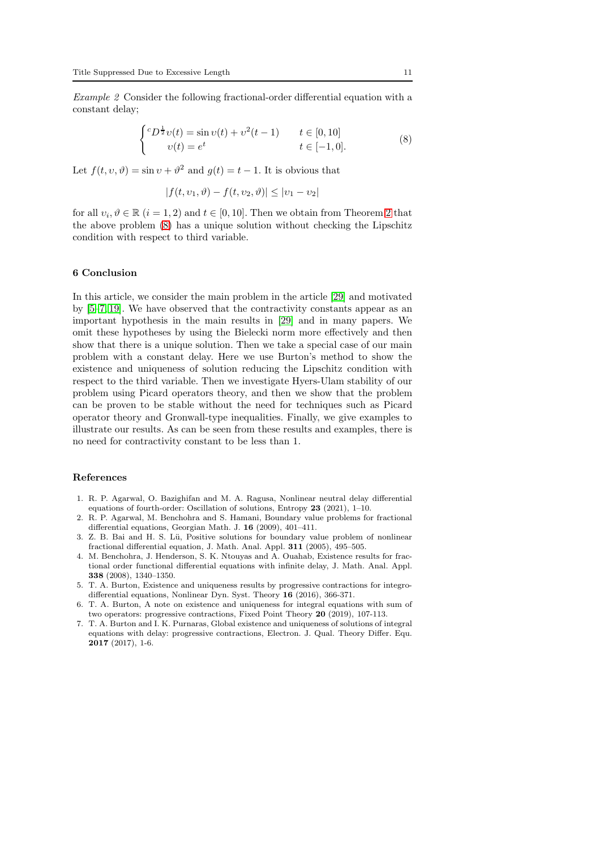Example 2 Consider the following fractional-order differential equation with a constant delay;

<span id="page-10-5"></span>
$$
\begin{cases} ^{c}D^{\frac{1}{2}}v(t) = \sin v(t) + v^{2}(t-1) & t \in [0,10] \\ v(t) = e^{t} & t \in [-1,0]. \end{cases}
$$
 (8)

Let  $f(t, v, \vartheta) = \sin v + \vartheta^2$  and  $g(t) = t - 1$ . It is obvious that

$$
|f(t, v_1, \vartheta) - f(t, v_2, \vartheta)| \le |v_1 - v_2|
$$

for all  $v_i, \vartheta \in \mathbb{R}$   $(i = 1, 2)$  $(i = 1, 2)$  $(i = 1, 2)$  and  $t \in [0, 10]$ . Then we obtain from Theorem 2 that the above problem [\(8\)](#page-10-5) has a unique solution without checking the Lipschitz condition with respect to third variable.

### 6 Conclusion

In this article, we consider the main problem in the article [\[29\]](#page-11-19) and motivated by [\[5–](#page-10-4)[7,](#page-10-3) [19\]](#page-11-14). We have observed that the contractivity constants appear as an important hypothesis in the main results in [\[29\]](#page-11-19) and in many papers. We omit these hypotheses by using the Bielecki norm more effectively and then show that there is a unique solution. Then we take a special case of our main problem with a constant delay. Here we use Burton's method to show the existence and uniqueness of solution reducing the Lipschitz condition with respect to the third variable. Then we investigate Hyers-Ulam stability of our problem using Picard operators theory, and then we show that the problem can be proven to be stable without the need for techniques such as Picard operator theory and Gronwall-type inequalities. Finally, we give examples to illustrate our results. As can be seen from these results and examples, there is no need for contractivity constant to be less than 1.

#### References

- <span id="page-10-0"></span>1. R. P. Agarwal, O. Bazighifan and M. A. Ragusa, Nonlinear neutral delay differential equations of fourth-order: Oscillation of solutions, Entropy 23 (2021), 1–10.
- 2. R. P. Agarwal, M. Benchohra and S. Hamani, Boundary value problems for fractional differential equations, Georgian Math. J. 16 (2009), 401–411.
- <span id="page-10-1"></span>3. Z. B. Bai and H. S. Lü, Positive solutions for boundary value problem of nonlinear fractional differential equation, J. Math. Anal. Appl. 311 (2005), 495–505.
- <span id="page-10-2"></span>4. M. Benchohra, J. Henderson, S. K. Ntouyas and A. Ouahab, Existence results for fractional order functional differential equations with infinite delay, J. Math. Anal. Appl. 338 (2008), 1340–1350.
- <span id="page-10-4"></span>5. T. A. Burton, Existence and uniqueness results by progressive contractions for integrodifferential equations, Nonlinear Dyn. Syst. Theory 16 (2016), 366-371.
- 6. T. A. Burton, A note on existence and uniqueness for integral equations with sum of two operators: progressive contractions, Fixed Point Theory 20 (2019), 107-113.
- <span id="page-10-3"></span>7. T. A. Burton and I. K. Purnaras, Global existence and uniqueness of solutions of integral equations with delay: progressive contractions, Electron. J. Qual. Theory Differ. Equ. 2017 (2017), 1-6.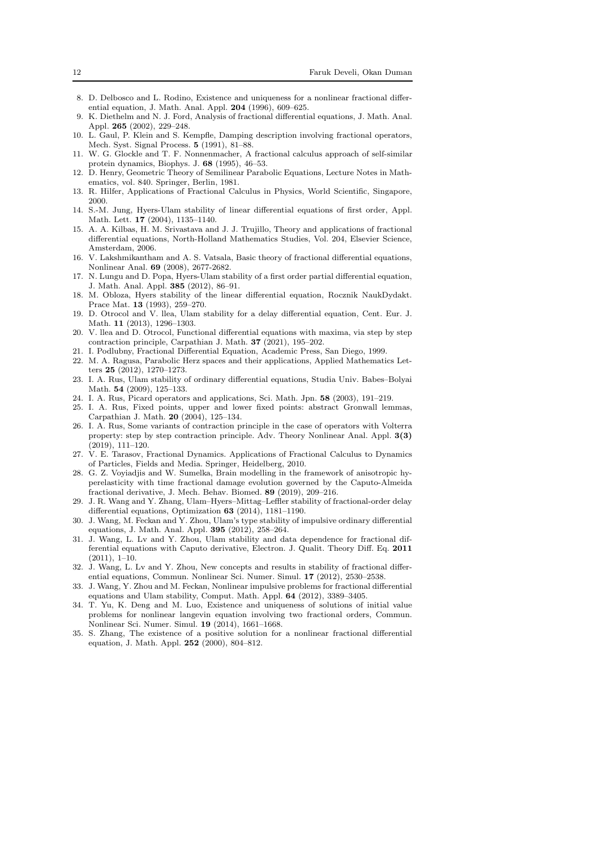- <span id="page-11-6"></span>8. D. Delbosco and L. Rodino, Existence and uniqueness for a nonlinear fractional differential equation, J. Math. Anal. Appl. 204 (1996), 609–625.
- <span id="page-11-7"></span>9. K. Diethelm and N. J. Ford, Analysis of fractional differential equations, J. Math. Anal. Appl. 265 (2002), 229–248.
- <span id="page-11-0"></span>10. L. Gaul, P. Klein and S. Kempfle, Damping description involving fractional operators, Mech. Syst. Signal Process. 5 (1991), 81–88.
- <span id="page-11-1"></span>11. W. G. Glockle and T. F. Nonnenmacher, A fractional calculus approach of self-similar protein dynamics, Biophys. J. 68 (1995), 46–53.
- <span id="page-11-25"></span>12. D. Henry, Geometric Theory of Semilinear Parabolic Equations, Lecture Notes in Mathematics, vol. 840. Springer, Berlin, 1981.
- <span id="page-11-12"></span><span id="page-11-2"></span>13. R. Hilfer, Applications of Fractional Calculus in Physics, World Scientific, Singapore, 2000.
- 14. S.-M. Jung, Hyers-Ulam stability of linear differential equations of first order, Appl. Math. Lett. 17 (2004), 1135–1140.
- <span id="page-11-22"></span>15. A. A. Kilbas, H. M. Srivastava and J. J. Trujillo, Theory and applications of fractional differential equations, North-Holland Mathematics Studies, Vol. 204, Elsevier Science, Amsterdam, 2006.
- <span id="page-11-8"></span>16. V. Lakshmikantham and A. S. Vatsala, Basic theory of fractional differential equations, Nonlinear Anal. 69 (2008), 2677-2682.
- <span id="page-11-13"></span>17. N. Lungu and D. Popa, Hyers-Ulam stability of a first order partial differential equation, J. Math. Anal. Appl. 385 (2012), 86–91.
- <span id="page-11-11"></span>18. M. Obloza, Hyers stability of the linear differential equation, Rocznik NaukDydakt. Prace Mat. 13 (1993), 259–270.
- <span id="page-11-14"></span>19. D. Otrocol and V. llea, Ulam stability for a delay differential equation, Cent. Eur. J. Math. 11 (2013), 1296–1303.
- <span id="page-11-20"></span>20. V. llea and D. Otrocol, Functional differential equations with maxima, via step by step contraction principle, Carpathian J. Math. 37 (2021), 195–202.
- <span id="page-11-9"></span><span id="page-11-3"></span>21. I. Podlubny, Fractional Differential Equation, Academic Press, San Diego, 1999.
- 22. M. A. Ragusa, Parabolic Herz spaces and their applications, Applied Mathematics Letters 25 (2012), 1270–1273.
- <span id="page-11-15"></span>23. I. A. Rus, Ulam stability of ordinary differential equations, Studia Univ. Babes–Bolyai Math. **54** (2009), 125-133.
- <span id="page-11-24"></span><span id="page-11-23"></span>24. I. A. Rus, Picard operators and applications, Sci. Math. Jpn. 58 (2003), 191–219.
- 25. I. A. Rus, Fixed points, upper and lower fixed points: abstract Gronwall lemmas, Carpathian J. Math. 20 (2004), 125–134.
- <span id="page-11-21"></span>26. I. A. Rus, Some variants of contraction principle in the case of operators with Volterra property: step by step contraction principle. Adv. Theory Nonlinear Anal. Appl. 3(3) (2019), 111–120.
- <span id="page-11-4"></span>27. V. E. Tarasov, Fractional Dynamics. Applications of Fractional Calculus to Dynamics of Particles, Fields and Media. Springer, Heidelberg, 2010.
- <span id="page-11-5"></span>28. G. Z. Voyiadjis and W. Sumelka, Brain modelling in the framework of anisotropic hyperelasticity with time fractional damage evolution governed by the Caputo-Almeida fractional derivative, J. Mech. Behav. Biomed. 89 (2019), 209–216.
- <span id="page-11-19"></span>29. J. R. Wang and Y. Zhang, Ulam–Hyers–Mittag–Leffler stability of fractional-order delay differential equations, Optimization 63 (2014), 1181–1190.
- <span id="page-11-16"></span>30. J. Wang, M. Feckan and Y. Zhou, Ulam's type stability of impulsive ordinary differential equations, J. Math. Anal. Appl. 395 (2012), 258–264.
- <span id="page-11-17"></span>31. J. Wang, L. Lv and Y. Zhou, Ulam stability and data dependence for fractional differential equations with Caputo derivative, Electron. J. Qualit. Theory Diff. Eq. 2011 (2011), 1–10.
- 32. J. Wang, L. Lv and Y. Zhou, New concepts and results in stability of fractional differential equations, Commun. Nonlinear Sci. Numer. Simul. 17 (2012), 2530–2538.
- <span id="page-11-18"></span>33. J. Wang, Y. Zhou and M. Feckan, Nonlinear impulsive problems for fractional differential equations and Ulam stability, Comput. Math. Appl. 64 (2012), 3389–3405.
- 34. T. Yu, K. Deng and M. Luo, Existence and uniqueness of solutions of initial value problems for nonlinear langevin equation involving two fractional orders, Commun. Nonlinear Sci. Numer. Simul. 19 (2014), 1661–1668.
- <span id="page-11-10"></span>35. S. Zhang, The existence of a positive solution for a nonlinear fractional differential equation, J. Math. Appl. 252 (2000), 804–812.